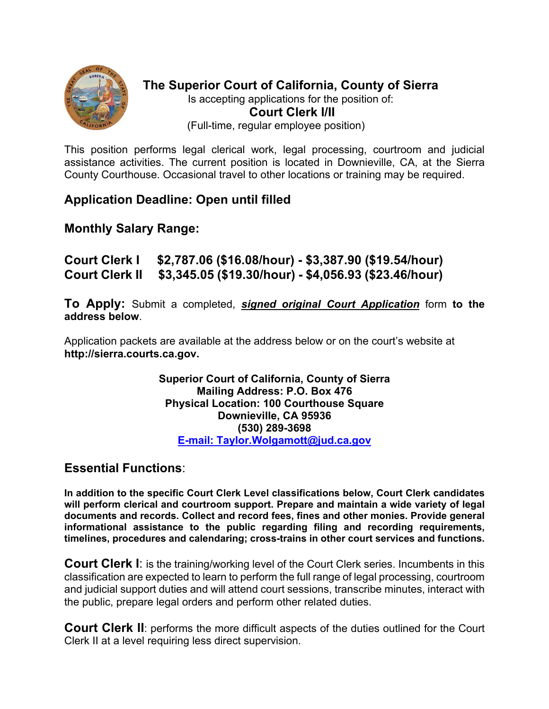

**The Superior Court of California, County of Sierra**  Is accepting applications for the position of: **Court Clerk I/II**  (Full-time, regular employee position)

This position performs legal clerical work, legal processing, courtroom and judicial assistance activities. The current position is located in Downieville, CA, at the Sierra County Courthouse. Occasional travel to other locations or training may be required.

## **Application Deadline: Open until filled**

## **Monthly Salary Range:**

**Court Clerk I \$2,787.06 (\$16.08/hour) - \$3,387.90 (\$19.54/hour) Court Clerk II \$3,345.05 (\$19.30/hour) - \$4,056.93 (\$23.46/hour)** 

**To Apply:** Submit a completed, *signed original Court Application* form **to the address below**.

Application packets are available at the address below or on the court's website at **http://sierra.courts.ca.gov.**

> **Superior Court of California, County of Sierra Mailing Address: P.O. Box 476 Physical Location: 100 Courthouse Square Downieville, CA 95936 (530) 289-3698 E-mail: Taylor.Wolgamott@jud.ca.gov**

## **Essential Functions**:

**In addition to the specific Court Clerk Level classifications below, Court Clerk candidates will perform clerical and courtroom support. Prepare and maintain a wide variety of legal documents and records. Collect and record fees, fines and other monies. Provide general informational assistance to the public regarding filing and recording requirements, timelines, procedures and calendaring; cross-trains in other court services and functions.** 

**Court Clerk I**: is the training/working level of the Court Clerk series. Incumbents in this classification are expected to learn to perform the full range of legal processing, courtroom and judicial support duties and will attend court sessions, transcribe minutes, interact with the public, prepare legal orders and perform other related duties.

**Court Clerk II:** performs the more difficult aspects of the duties outlined for the Court Clerk II at a level requiring less direct supervision.